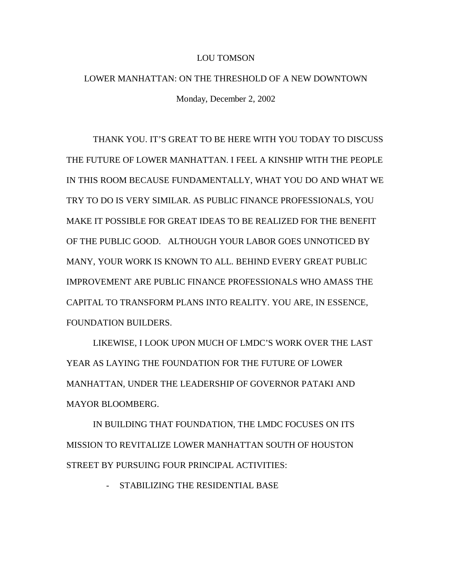## LOU TOMSON

## LOWER MANHATTAN: ON THE THRESHOLD OF A NEW DOWNTOWN Monday, December 2, 2002

THANK YOU. IT'S GREAT TO BE HERE WITH YOU TODAY TO DISCUSS THE FUTURE OF LOWER MANHATTAN. I FEEL A KINSHIP WITH THE PEOPLE IN THIS ROOM BECAUSE FUNDAMENTALLY, WHAT YOU DO AND WHAT WE TRY TO DO IS VERY SIMILAR. AS PUBLIC FINANCE PROFESSIONALS, YOU MAKE IT POSSIBLE FOR GREAT IDEAS TO BE REALIZED FOR THE BENEFIT OF THE PUBLIC GOOD. ALTHOUGH YOUR LABOR GOES UNNOTICED BY MANY, YOUR WORK IS KNOWN TO ALL. BEHIND EVERY GREAT PUBLIC IMPROVEMENT ARE PUBLIC FINANCE PROFESSIONALS WHO AMASS THE CAPITAL TO TRANSFORM PLANS INTO REALITY. YOU ARE, IN ESSENCE, FOUNDATION BUILDERS.

LIKEWISE, I LOOK UPON MUCH OF LMDC'S WORK OVER THE LAST YEAR AS LAYING THE FOUNDATION FOR THE FUTURE OF LOWER MANHATTAN, UNDER THE LEADERSHIP OF GOVERNOR PATAKI AND MAYOR BLOOMBERG.

IN BUILDING THAT FOUNDATION, THE LMDC FOCUSES ON ITS MISSION TO REVITALIZE LOWER MANHATTAN SOUTH OF HOUSTON STREET BY PURSUING FOUR PRINCIPAL ACTIVITIES:

STABILIZING THE RESIDENTIAL BASE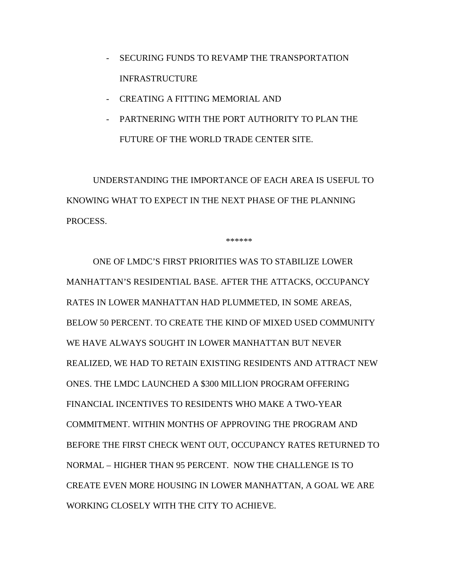- SECURING FUNDS TO REVAMP THE TRANSPORTATION INFRASTRUCTURE
- CREATING A FITTING MEMORIAL AND
- PARTNERING WITH THE PORT AUTHORITY TO PLAN THE FUTURE OF THE WORLD TRADE CENTER SITE.

UNDERSTANDING THE IMPORTANCE OF EACH AREA IS USEFUL TO KNOWING WHAT TO EXPECT IN THE NEXT PHASE OF THE PLANNING PROCESS.

\*\*\*\*\*\*

ONE OF LMDC'S FIRST PRIORITIES WAS TO STABILIZE LOWER MANHATTAN'S RESIDENTIAL BASE. AFTER THE ATTACKS, OCCUPANCY RATES IN LOWER MANHATTAN HAD PLUMMETED, IN SOME AREAS, BELOW 50 PERCENT. TO CREATE THE KIND OF MIXED USED COMMUNITY WE HAVE ALWAYS SOUGHT IN LOWER MANHATTAN BUT NEVER REALIZED, WE HAD TO RETAIN EXISTING RESIDENTS AND ATTRACT NEW ONES. THE LMDC LAUNCHED A \$300 MILLION PROGRAM OFFERING FINANCIAL INCENTIVES TO RESIDENTS WHO MAKE A TWO-YEAR COMMITMENT. WITHIN MONTHS OF APPROVING THE PROGRAM AND BEFORE THE FIRST CHECK WENT OUT, OCCUPANCY RATES RETURNED TO NORMAL – HIGHER THAN 95 PERCENT. NOW THE CHALLENGE IS TO CREATE EVEN MORE HOUSING IN LOWER MANHATTAN, A GOAL WE ARE WORKING CLOSELY WITH THE CITY TO ACHIEVE.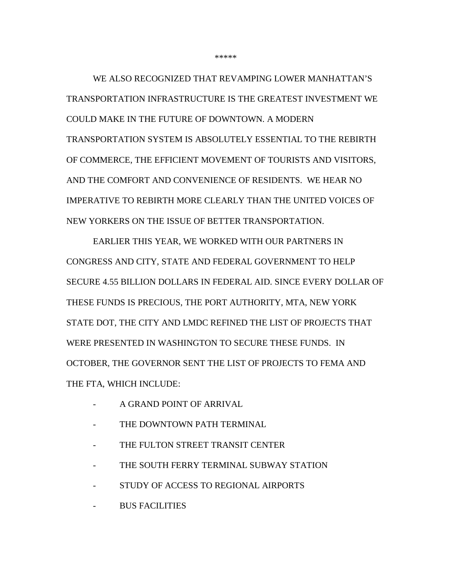WE ALSO RECOGNIZED THAT REVAMPING LOWER MANHATTAN'S TRANSPORTATION INFRASTRUCTURE IS THE GREATEST INVESTMENT WE COULD MAKE IN THE FUTURE OF DOWNTOWN. A MODERN TRANSPORTATION SYSTEM IS ABSOLUTELY ESSENTIAL TO THE REBIRTH OF COMMERCE, THE EFFICIENT MOVEMENT OF TOURISTS AND VISITORS, AND THE COMFORT AND CONVENIENCE OF RESIDENTS. WE HEAR NO IMPERATIVE TO REBIRTH MORE CLEARLY THAN THE UNITED VOICES OF NEW YORKERS ON THE ISSUE OF BETTER TRANSPORTATION.

EARLIER THIS YEAR, WE WORKED WITH OUR PARTNERS IN CONGRESS AND CITY, STATE AND FEDERAL GOVERNMENT TO HELP SECURE 4.55 BILLION DOLLARS IN FEDERAL AID. SINCE EVERY DOLLAR OF THESE FUNDS IS PRECIOUS, THE PORT AUTHORITY, MTA, NEW YORK STATE DOT, THE CITY AND LMDC REFINED THE LIST OF PROJECTS THAT WERE PRESENTED IN WASHINGTON TO SECURE THESE FUNDS. IN OCTOBER, THE GOVERNOR SENT THE LIST OF PROJECTS TO FEMA AND THE FTA, WHICH INCLUDE:

- A GRAND POINT OF ARRIVAL
- THE DOWNTOWN PATH TERMINAL
- THE FULTON STREET TRANSIT CENTER
- THE SOUTH FERRY TERMINAL SUBWAY STATION
- STUDY OF ACCESS TO REGIONAL AIRPORTS
- BUS FACILITIES

\*\*\*\*\*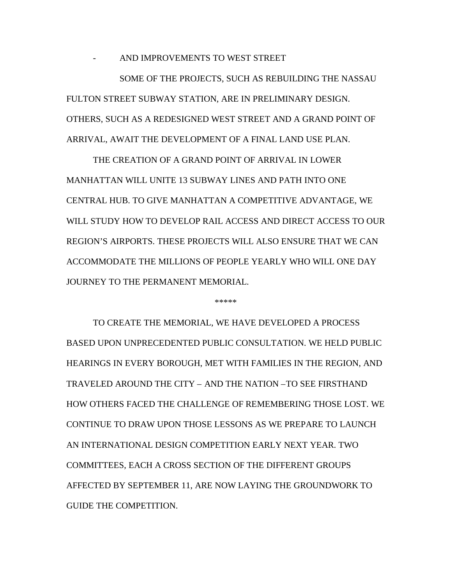AND IMPROVEMENTS TO WEST STREET

SOME OF THE PROJECTS, SUCH AS REBUILDING THE NASSAU FULTON STREET SUBWAY STATION, ARE IN PRELIMINARY DESIGN. OTHERS, SUCH AS A REDESIGNED WEST STREET AND A GRAND POINT OF ARRIVAL, AWAIT THE DEVELOPMENT OF A FINAL LAND USE PLAN.

THE CREATION OF A GRAND POINT OF ARRIVAL IN LOWER MANHATTAN WILL UNITE 13 SUBWAY LINES AND PATH INTO ONE CENTRAL HUB. TO GIVE MANHATTAN A COMPETITIVE ADVANTAGE, WE WILL STUDY HOW TO DEVELOP RAIL ACCESS AND DIRECT ACCESS TO OUR REGION'S AIRPORTS. THESE PROJECTS WILL ALSO ENSURE THAT WE CAN ACCOMMODATE THE MILLIONS OF PEOPLE YEARLY WHO WILL ONE DAY JOURNEY TO THE PERMANENT MEMORIAL.

\*\*\*\*\*

TO CREATE THE MEMORIAL, WE HAVE DEVELOPED A PROCESS BASED UPON UNPRECEDENTED PUBLIC CONSULTATION. WE HELD PUBLIC HEARINGS IN EVERY BOROUGH, MET WITH FAMILIES IN THE REGION, AND TRAVELED AROUND THE CITY – AND THE NATION –TO SEE FIRSTHAND HOW OTHERS FACED THE CHALLENGE OF REMEMBERING THOSE LOST. WE CONTINUE TO DRAW UPON THOSE LESSONS AS WE PREPARE TO LAUNCH AN INTERNATIONAL DESIGN COMPETITION EARLY NEXT YEAR. TWO COMMITTEES, EACH A CROSS SECTION OF THE DIFFERENT GROUPS AFFECTED BY SEPTEMBER 11, ARE NOW LAYING THE GROUNDWORK TO GUIDE THE COMPETITION.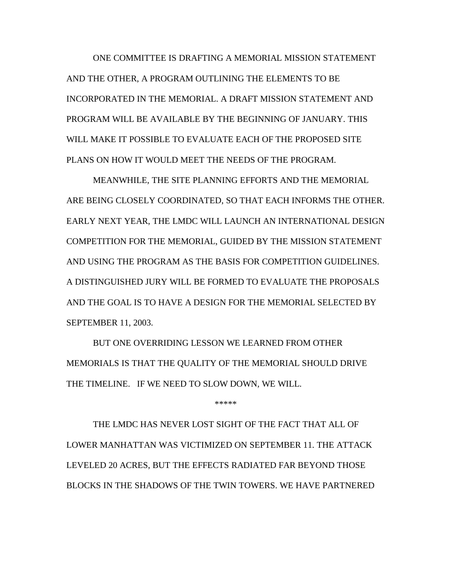ONE COMMITTEE IS DRAFTING A MEMORIAL MISSION STATEMENT AND THE OTHER, A PROGRAM OUTLINING THE ELEMENTS TO BE INCORPORATED IN THE MEMORIAL. A DRAFT MISSION STATEMENT AND PROGRAM WILL BE AVAILABLE BY THE BEGINNING OF JANUARY. THIS WILL MAKE IT POSSIBLE TO EVALUATE EACH OF THE PROPOSED SITE PLANS ON HOW IT WOULD MEET THE NEEDS OF THE PROGRAM.

MEANWHILE, THE SITE PLANNING EFFORTS AND THE MEMORIAL ARE BEING CLOSELY COORDINATED, SO THAT EACH INFORMS THE OTHER. EARLY NEXT YEAR, THE LMDC WILL LAUNCH AN INTERNATIONAL DESIGN COMPETITION FOR THE MEMORIAL, GUIDED BY THE MISSION STATEMENT AND USING THE PROGRAM AS THE BASIS FOR COMPETITION GUIDELINES. A DISTINGUISHED JURY WILL BE FORMED TO EVALUATE THE PROPOSALS AND THE GOAL IS TO HAVE A DESIGN FOR THE MEMORIAL SELECTED BY SEPTEMBER 11, 2003.

BUT ONE OVERRIDING LESSON WE LEARNED FROM OTHER MEMORIALS IS THAT THE QUALITY OF THE MEMORIAL SHOULD DRIVE THE TIMELINE. IF WE NEED TO SLOW DOWN, WE WILL.

\*\*\*\*\*

THE LMDC HAS NEVER LOST SIGHT OF THE FACT THAT ALL OF LOWER MANHATTAN WAS VICTIMIZED ON SEPTEMBER 11. THE ATTACK LEVELED 20 ACRES, BUT THE EFFECTS RADIATED FAR BEYOND THOSE BLOCKS IN THE SHADOWS OF THE TWIN TOWERS. WE HAVE PARTNERED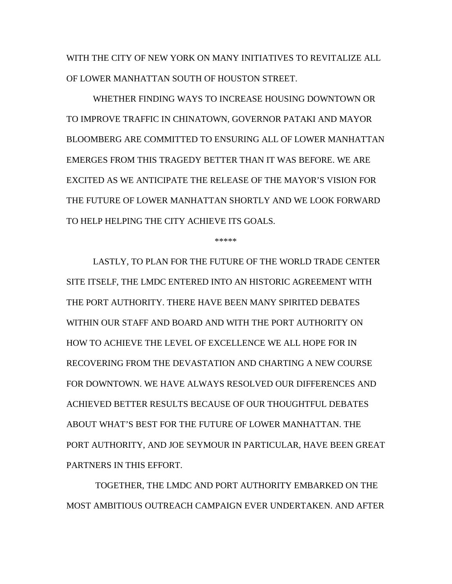WITH THE CITY OF NEW YORK ON MANY INITIATIVES TO REVITALIZE ALL OF LOWER MANHATTAN SOUTH OF HOUSTON STREET.

WHETHER FINDING WAYS TO INCREASE HOUSING DOWNTOWN OR TO IMPROVE TRAFFIC IN CHINATOWN, GOVERNOR PATAKI AND MAYOR BLOOMBERG ARE COMMITTED TO ENSURING ALL OF LOWER MANHATTAN EMERGES FROM THIS TRAGEDY BETTER THAN IT WAS BEFORE. WE ARE EXCITED AS WE ANTICIPATE THE RELEASE OF THE MAYOR'S VISION FOR THE FUTURE OF LOWER MANHATTAN SHORTLY AND WE LOOK FORWARD TO HELP HELPING THE CITY ACHIEVE ITS GOALS.

\*\*\*\*\*

LASTLY, TO PLAN FOR THE FUTURE OF THE WORLD TRADE CENTER SITE ITSELF, THE LMDC ENTERED INTO AN HISTORIC AGREEMENT WITH THE PORT AUTHORITY. THERE HAVE BEEN MANY SPIRITED DEBATES WITHIN OUR STAFF AND BOARD AND WITH THE PORT AUTHORITY ON HOW TO ACHIEVE THE LEVEL OF EXCELLENCE WE ALL HOPE FOR IN RECOVERING FROM THE DEVASTATION AND CHARTING A NEW COURSE FOR DOWNTOWN. WE HAVE ALWAYS RESOLVED OUR DIFFERENCES AND ACHIEVED BETTER RESULTS BECAUSE OF OUR THOUGHTFUL DEBATES ABOUT WHAT'S BEST FOR THE FUTURE OF LOWER MANHATTAN. THE PORT AUTHORITY, AND JOE SEYMOUR IN PARTICULAR, HAVE BEEN GREAT PARTNERS IN THIS EFFORT.

 TOGETHER, THE LMDC AND PORT AUTHORITY EMBARKED ON THE MOST AMBITIOUS OUTREACH CAMPAIGN EVER UNDERTAKEN. AND AFTER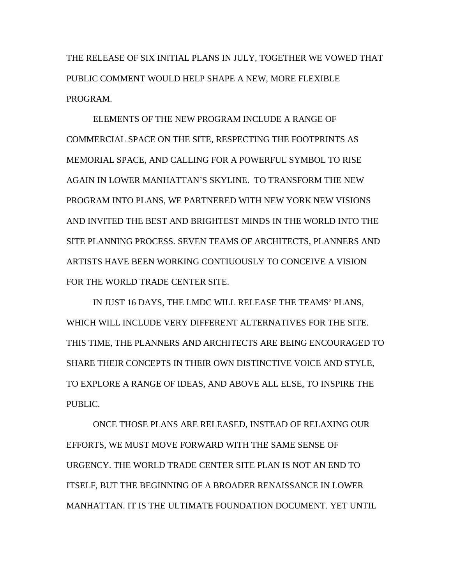THE RELEASE OF SIX INITIAL PLANS IN JULY, TOGETHER WE VOWED THAT PUBLIC COMMENT WOULD HELP SHAPE A NEW, MORE FLEXIBLE PROGRAM.

ELEMENTS OF THE NEW PROGRAM INCLUDE A RANGE OF COMMERCIAL SPACE ON THE SITE, RESPECTING THE FOOTPRINTS AS MEMORIAL SPACE, AND CALLING FOR A POWERFUL SYMBOL TO RISE AGAIN IN LOWER MANHATTAN'S SKYLINE. TO TRANSFORM THE NEW PROGRAM INTO PLANS, WE PARTNERED WITH NEW YORK NEW VISIONS AND INVITED THE BEST AND BRIGHTEST MINDS IN THE WORLD INTO THE SITE PLANNING PROCESS. SEVEN TEAMS OF ARCHITECTS, PLANNERS AND ARTISTS HAVE BEEN WORKING CONTIUOUSLY TO CONCEIVE A VISION FOR THE WORLD TRADE CENTER SITE.

IN JUST 16 DAYS, THE LMDC WILL RELEASE THE TEAMS' PLANS, WHICH WILL INCLUDE VERY DIFFERENT ALTERNATIVES FOR THE SITE. THIS TIME, THE PLANNERS AND ARCHITECTS ARE BEING ENCOURAGED TO SHARE THEIR CONCEPTS IN THEIR OWN DISTINCTIVE VOICE AND STYLE, TO EXPLORE A RANGE OF IDEAS, AND ABOVE ALL ELSE, TO INSPIRE THE PUBLIC.

ONCE THOSE PLANS ARE RELEASED, INSTEAD OF RELAXING OUR EFFORTS, WE MUST MOVE FORWARD WITH THE SAME SENSE OF URGENCY. THE WORLD TRADE CENTER SITE PLAN IS NOT AN END TO ITSELF, BUT THE BEGINNING OF A BROADER RENAISSANCE IN LOWER MANHATTAN. IT IS THE ULTIMATE FOUNDATION DOCUMENT. YET UNTIL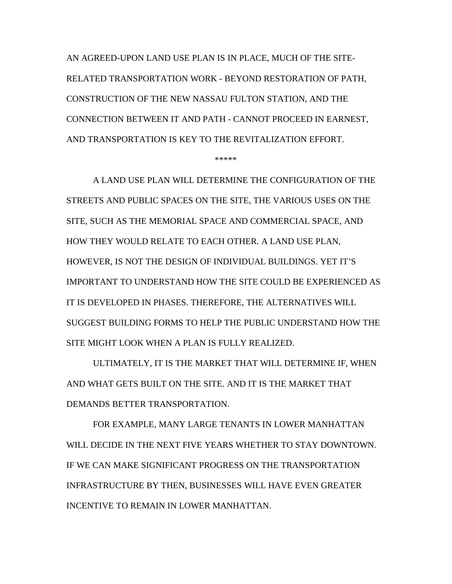AN AGREED-UPON LAND USE PLAN IS IN PLACE, MUCH OF THE SITE-RELATED TRANSPORTATION WORK - BEYOND RESTORATION OF PATH, CONSTRUCTION OF THE NEW NASSAU FULTON STATION, AND THE CONNECTION BETWEEN IT AND PATH - CANNOT PROCEED IN EARNEST, AND TRANSPORTATION IS KEY TO THE REVITALIZATION EFFORT.

\*\*\*\*\*

A LAND USE PLAN WILL DETERMINE THE CONFIGURATION OF THE STREETS AND PUBLIC SPACES ON THE SITE, THE VARIOUS USES ON THE SITE, SUCH AS THE MEMORIAL SPACE AND COMMERCIAL SPACE, AND HOW THEY WOULD RELATE TO EACH OTHER. A LAND USE PLAN, HOWEVER, IS NOT THE DESIGN OF INDIVIDUAL BUILDINGS. YET IT'S IMPORTANT TO UNDERSTAND HOW THE SITE COULD BE EXPERIENCED AS IT IS DEVELOPED IN PHASES. THEREFORE, THE ALTERNATIVES WILL SUGGEST BUILDING FORMS TO HELP THE PUBLIC UNDERSTAND HOW THE SITE MIGHT LOOK WHEN A PLAN IS FULLY REALIZED.

ULTIMATELY, IT IS THE MARKET THAT WILL DETERMINE IF, WHEN AND WHAT GETS BUILT ON THE SITE. AND IT IS THE MARKET THAT DEMANDS BETTER TRANSPORTATION.

FOR EXAMPLE, MANY LARGE TENANTS IN LOWER MANHATTAN WILL DECIDE IN THE NEXT FIVE YEARS WHETHER TO STAY DOWNTOWN. IF WE CAN MAKE SIGNIFICANT PROGRESS ON THE TRANSPORTATION INFRASTRUCTURE BY THEN, BUSINESSES WILL HAVE EVEN GREATER INCENTIVE TO REMAIN IN LOWER MANHATTAN.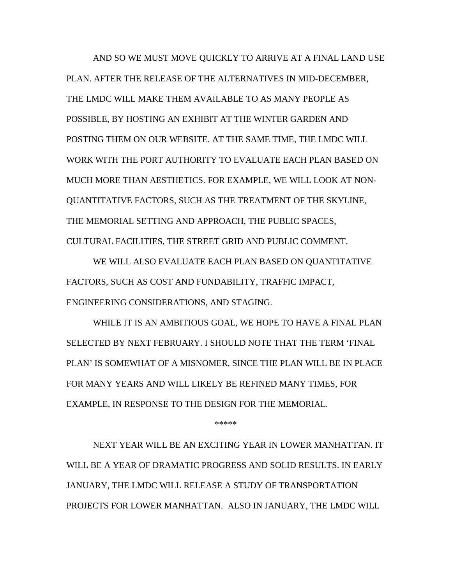AND SO WE MUST MOVE QUICKLY TO ARRIVE AT A FINAL LAND USE PLAN. AFTER THE RELEASE OF THE ALTERNATIVES IN MID-DECEMBER, THE LMDC WILL MAKE THEM AVAILABLE TO AS MANY PEOPLE AS POSSIBLE, BY HOSTING AN EXHIBIT AT THE WINTER GARDEN AND POSTING THEM ON OUR WEBSITE. AT THE SAME TIME, THE LMDC WILL WORK WITH THE PORT AUTHORITY TO EVALUATE EACH PLAN BASED ON MUCH MORE THAN AESTHETICS. FOR EXAMPLE, WE WILL LOOK AT NON-QUANTITATIVE FACTORS, SUCH AS THE TREATMENT OF THE SKYLINE, THE MEMORIAL SETTING AND APPROACH, THE PUBLIC SPACES, CULTURAL FACILITIES, THE STREET GRID AND PUBLIC COMMENT.

WE WILL ALSO EVALUATE EACH PLAN BASED ON QUANTITATIVE FACTORS, SUCH AS COST AND FUNDABILITY, TRAFFIC IMPACT, ENGINEERING CONSIDERATIONS, AND STAGING.

WHILE IT IS AN AMBITIOUS GOAL, WE HOPE TO HAVE A FINAL PLAN SELECTED BY NEXT FEBRUARY. I SHOULD NOTE THAT THE TERM 'FINAL PLAN' IS SOMEWHAT OF A MISNOMER, SINCE THE PLAN WILL BE IN PLACE FOR MANY YEARS AND WILL LIKELY BE REFINED MANY TIMES, FOR EXAMPLE, IN RESPONSE TO THE DESIGN FOR THE MEMORIAL.

\*\*\*\*\*

NEXT YEAR WILL BE AN EXCITING YEAR IN LOWER MANHATTAN. IT WILL BE A YEAR OF DRAMATIC PROGRESS AND SOLID RESULTS. IN EARLY JANUARY, THE LMDC WILL RELEASE A STUDY OF TRANSPORTATION PROJECTS FOR LOWER MANHATTAN. ALSO IN JANUARY, THE LMDC WILL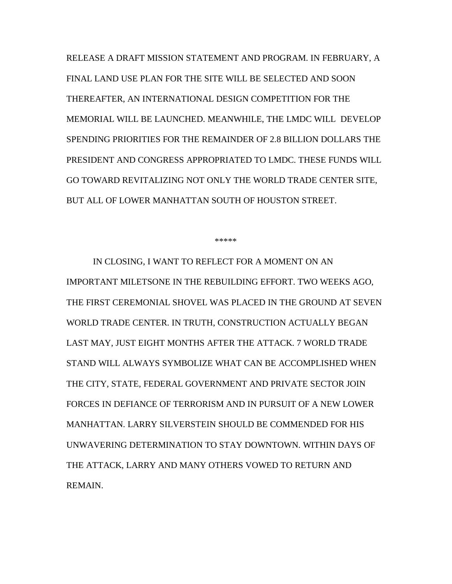RELEASE A DRAFT MISSION STATEMENT AND PROGRAM. IN FEBRUARY, A FINAL LAND USE PLAN FOR THE SITE WILL BE SELECTED AND SOON THEREAFTER, AN INTERNATIONAL DESIGN COMPETITION FOR THE MEMORIAL WILL BE LAUNCHED. MEANWHILE, THE LMDC WILL DEVELOP SPENDING PRIORITIES FOR THE REMAINDER OF 2.8 BILLION DOLLARS THE PRESIDENT AND CONGRESS APPROPRIATED TO LMDC. THESE FUNDS WILL GO TOWARD REVITALIZING NOT ONLY THE WORLD TRADE CENTER SITE, BUT ALL OF LOWER MANHATTAN SOUTH OF HOUSTON STREET.

\*\*\*\*\*

IN CLOSING, I WANT TO REFLECT FOR A MOMENT ON AN IMPORTANT MILETSONE IN THE REBUILDING EFFORT. TWO WEEKS AGO, THE FIRST CEREMONIAL SHOVEL WAS PLACED IN THE GROUND AT SEVEN WORLD TRADE CENTER. IN TRUTH, CONSTRUCTION ACTUALLY BEGAN LAST MAY, JUST EIGHT MONTHS AFTER THE ATTACK. 7 WORLD TRADE STAND WILL ALWAYS SYMBOLIZE WHAT CAN BE ACCOMPLISHED WHEN THE CITY, STATE, FEDERAL GOVERNMENT AND PRIVATE SECTOR JOIN FORCES IN DEFIANCE OF TERRORISM AND IN PURSUIT OF A NEW LOWER MANHATTAN. LARRY SILVERSTEIN SHOULD BE COMMENDED FOR HIS UNWAVERING DETERMINATION TO STAY DOWNTOWN. WITHIN DAYS OF THE ATTACK, LARRY AND MANY OTHERS VOWED TO RETURN AND REMAIN.